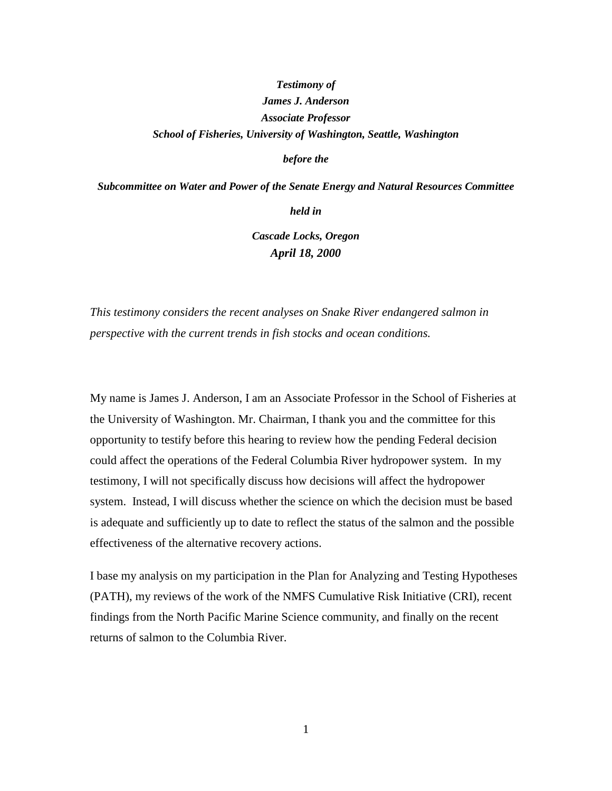# *Testimony of James J. Anderson Associate Professor School of Fisheries, University of Washington, Seattle, Washington*

*before the*

*Subcommittee on Water and Power of the Senate Energy and Natural Resources Committee*

*held in*

*Cascade Locks, Oregon April 18, 2000*

*This testimony considers the recent analyses on Snake River endangered salmon in perspective with the current trends in fish stocks and ocean conditions.*

My name is James J. Anderson, I am an Associate Professor in the School of Fisheries at the University of Washington. Mr. Chairman, I thank you and the committee for this opportunity to testify before this hearing to review how the pending Federal decision could affect the operations of the Federal Columbia River hydropower system. In my testimony, I will not specifically discuss how decisions will affect the hydropower system. Instead, I will discuss whether the science on which the decision must be based is adequate and sufficiently up to date to reflect the status of the salmon and the possible effectiveness of the alternative recovery actions.

I base my analysis on my participation in the Plan for Analyzing and Testing Hypotheses (PATH), my reviews of the work of the NMFS Cumulative Risk Initiative (CRI), recent findings from the North Pacific Marine Science community, and finally on the recent returns of salmon to the Columbia River.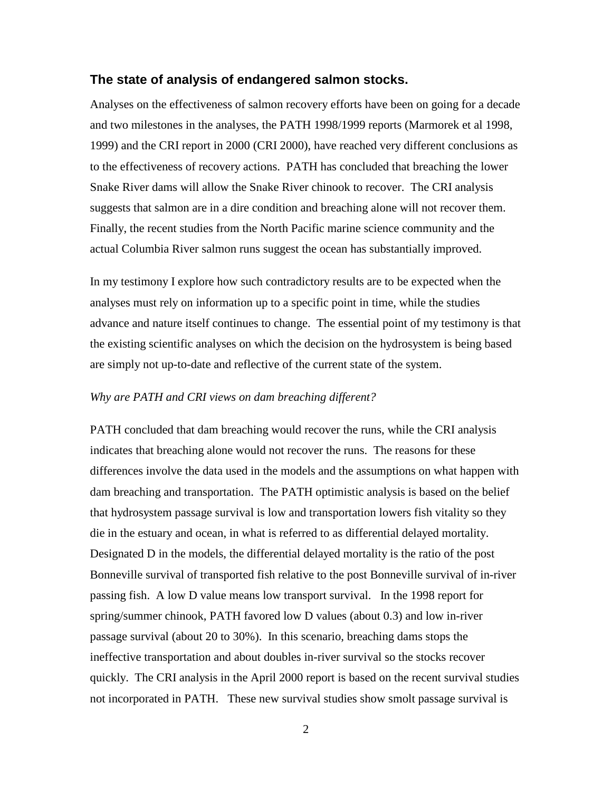## **The state of analysis of endangered salmon stocks.**

Analyses on the effectiveness of salmon recovery efforts have been on going for a decade and two milestones in the analyses, the PATH 1998/1999 reports (Marmorek et al 1998, 1999) and the CRI report in 2000 (CRI 2000), have reached very different conclusions as to the effectiveness of recovery actions. PATH has concluded that breaching the lower Snake River dams will allow the Snake River chinook to recover. The CRI analysis suggests that salmon are in a dire condition and breaching alone will not recover them. Finally, the recent studies from the North Pacific marine science community and the actual Columbia River salmon runs suggest the ocean has substantially improved.

In my testimony I explore how such contradictory results are to be expected when the analyses must rely on information up to a specific point in time, while the studies advance and nature itself continues to change. The essential point of my testimony is that the existing scientific analyses on which the decision on the hydrosystem is being based are simply not up-to-date and reflective of the current state of the system.

### *Why are PATH and CRI views on dam breaching different?*

PATH concluded that dam breaching would recover the runs, while the CRI analysis indicates that breaching alone would not recover the runs. The reasons for these differences involve the data used in the models and the assumptions on what happen with dam breaching and transportation. The PATH optimistic analysis is based on the belief that hydrosystem passage survival is low and transportation lowers fish vitality so they die in the estuary and ocean, in what is referred to as differential delayed mortality. Designated D in the models, the differential delayed mortality is the ratio of the post Bonneville survival of transported fish relative to the post Bonneville survival of in-river passing fish. A low D value means low transport survival. In the 1998 report for spring/summer chinook, PATH favored low D values (about 0.3) and low in-river passage survival (about 20 to 30%). In this scenario, breaching dams stops the ineffective transportation and about doubles in-river survival so the stocks recover quickly. The CRI analysis in the April 2000 report is based on the recent survival studies not incorporated in PATH. These new survival studies show smolt passage survival is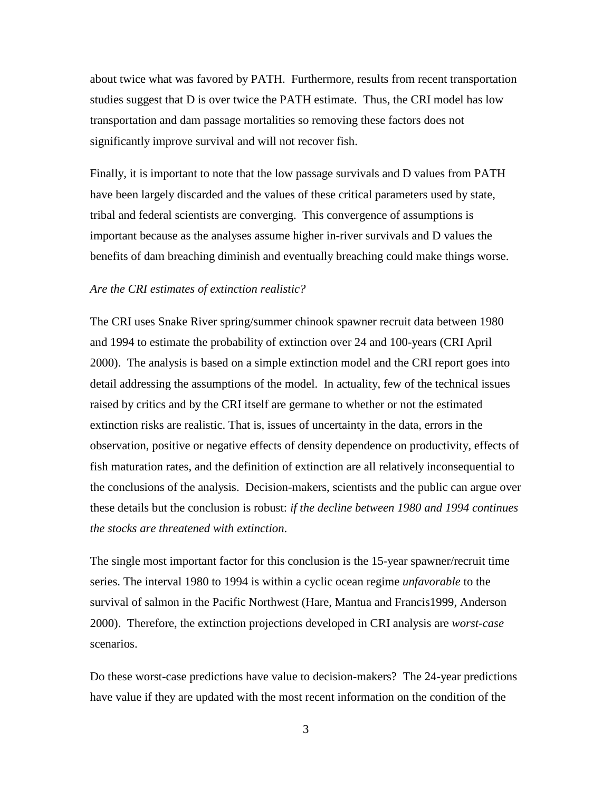about twice what was favored by PATH. Furthermore, results from recent transportation studies suggest that D is over twice the PATH estimate. Thus, the CRI model has low transportation and dam passage mortalities so removing these factors does not significantly improve survival and will not recover fish.

Finally, it is important to note that the low passage survivals and D values from PATH have been largely discarded and the values of these critical parameters used by state, tribal and federal scientists are converging. This convergence of assumptions is important because as the analyses assume higher in-river survivals and D values the benefits of dam breaching diminish and eventually breaching could make things worse.

#### *Are the CRI estimates of extinction realistic?*

The CRI uses Snake River spring/summer chinook spawner recruit data between 1980 and 1994 to estimate the probability of extinction over 24 and 100-years (CRI April 2000). The analysis is based on a simple extinction model and the CRI report goes into detail addressing the assumptions of the model. In actuality, few of the technical issues raised by critics and by the CRI itself are germane to whether or not the estimated extinction risks are realistic. That is, issues of uncertainty in the data, errors in the observation, positive or negative effects of density dependence on productivity, effects of fish maturation rates, and the definition of extinction are all relatively inconsequential to the conclusions of the analysis. Decision-makers, scientists and the public can argue over these details but the conclusion is robust: *if the decline between 1980 and 1994 continues the stocks are threatened with extinction*.

The single most important factor for this conclusion is the 15-year spawner/recruit time series. The interval 1980 to 1994 is within a cyclic ocean regime *unfavorable* to the survival of salmon in the Pacific Northwest (Hare, Mantua and Francis1999, Anderson 2000). Therefore, the extinction projections developed in CRI analysis are *worst-case* scenarios.

Do these worst-case predictions have value to decision-makers? The 24-year predictions have value if they are updated with the most recent information on the condition of the

3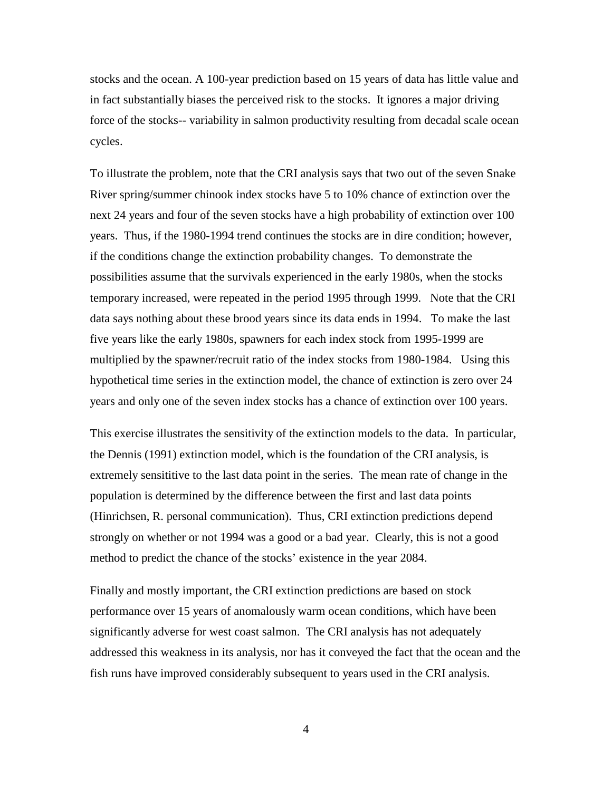stocks and the ocean. A 100-year prediction based on 15 years of data has little value and in fact substantially biases the perceived risk to the stocks. It ignores a major driving force of the stocks-- variability in salmon productivity resulting from decadal scale ocean cycles.

To illustrate the problem, note that the CRI analysis says that two out of the seven Snake River spring/summer chinook index stocks have 5 to 10% chance of extinction over the next 24 years and four of the seven stocks have a high probability of extinction over 100 years. Thus, if the 1980-1994 trend continues the stocks are in dire condition; however, if the conditions change the extinction probability changes. To demonstrate the possibilities assume that the survivals experienced in the early 1980s, when the stocks temporary increased, were repeated in the period 1995 through 1999. Note that the CRI data says nothing about these brood years since its data ends in 1994. To make the last five years like the early 1980s, spawners for each index stock from 1995-1999 are multiplied by the spawner/recruit ratio of the index stocks from 1980-1984. Using this hypothetical time series in the extinction model, the chance of extinction is zero over 24 years and only one of the seven index stocks has a chance of extinction over 100 years.

This exercise illustrates the sensitivity of the extinction models to the data. In particular, the Dennis (1991) extinction model, which is the foundation of the CRI analysis, is extremely sensititive to the last data point in the series. The mean rate of change in the population is determined by the difference between the first and last data points (Hinrichsen, R. personal communication). Thus, CRI extinction predictions depend strongly on whether or not 1994 was a good or a bad year. Clearly, this is not a good method to predict the chance of the stocks' existence in the year 2084.

Finally and mostly important, the CRI extinction predictions are based on stock performance over 15 years of anomalously warm ocean conditions, which have been significantly adverse for west coast salmon. The CRI analysis has not adequately addressed this weakness in its analysis, nor has it conveyed the fact that the ocean and the fish runs have improved considerably subsequent to years used in the CRI analysis.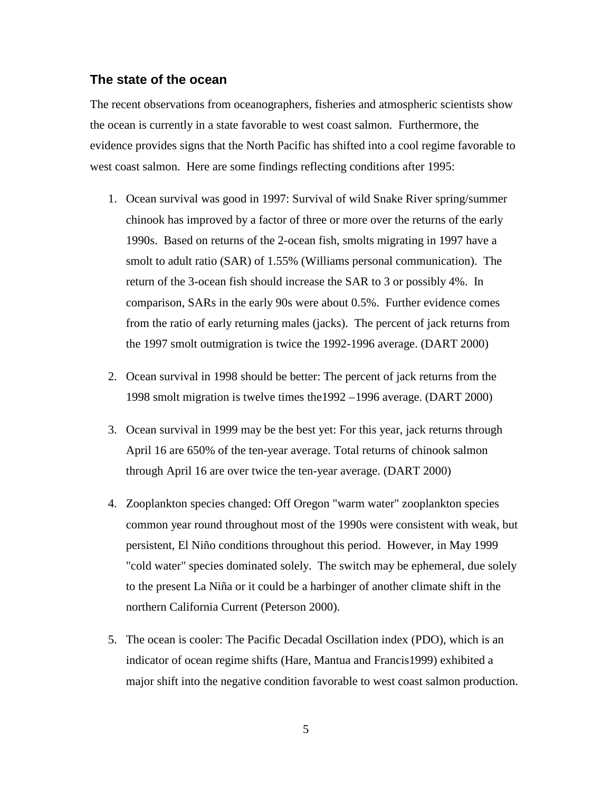# **The state of the ocean**

The recent observations from oceanographers, fisheries and atmospheric scientists show the ocean is currently in a state favorable to west coast salmon. Furthermore, the evidence provides signs that the North Pacific has shifted into a cool regime favorable to west coast salmon. Here are some findings reflecting conditions after 1995:

- 1. Ocean survival was good in 1997: Survival of wild Snake River spring/summer chinook has improved by a factor of three or more over the returns of the early 1990s. Based on returns of the 2-ocean fish, smolts migrating in 1997 have a smolt to adult ratio (SAR) of 1.55% (Williams personal communication). The return of the 3-ocean fish should increase the SAR to 3 or possibly 4%. In comparison, SARs in the early 90s were about 0.5%. Further evidence comes from the ratio of early returning males (jacks). The percent of jack returns from the 1997 smolt outmigration is twice the 1992-1996 average. (DART 2000)
- 2. Ocean survival in 1998 should be better: The percent of jack returns from the 1998 smolt migration is twelve times the1992 –1996 average. (DART 2000)
- 3. Ocean survival in 1999 may be the best yet: For this year, jack returns through April 16 are 650% of the ten-year average. Total returns of chinook salmon through April 16 are over twice the ten-year average. (DART 2000)
- 4. Zooplankton species changed: Off Oregon "warm water" zooplankton species common year round throughout most of the 1990s were consistent with weak, but persistent, El Niño conditions throughout this period. However, in May 1999 "cold water" species dominated solely. The switch may be ephemeral, due solely to the present La Niña or it could be a harbinger of another climate shift in the northern California Current (Peterson 2000).
- 5. The ocean is cooler: The Pacific Decadal Oscillation index (PDO), which is an indicator of ocean regime shifts (Hare, Mantua and Francis1999) exhibited a major shift into the negative condition favorable to west coast salmon production.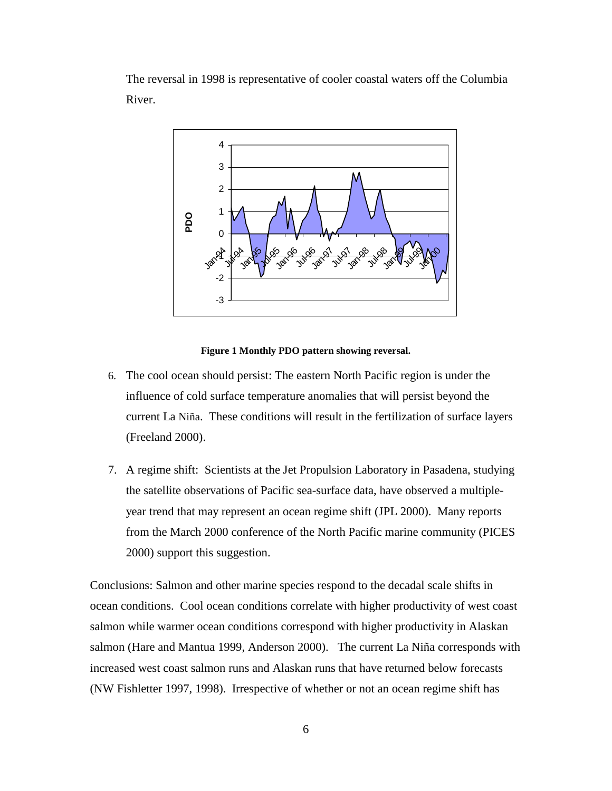The reversal in 1998 is representative of cooler coastal waters off the Columbia River.



#### **Figure 1 Monthly PDO pattern showing reversal.**

- 6. The cool ocean should persist: The eastern North Pacific region is under the influence of cold surface temperature anomalies that will persist beyond the current La Niña. These conditions will result in the fertilization of surface layers (Freeland 2000).
- 7. A regime shift: Scientists at the Jet Propulsion Laboratory in Pasadena, studying the satellite observations of Pacific sea-surface data, have observed a multipleyear trend that may represent an ocean regime shift (JPL 2000). Many reports from the March 2000 conference of the North Pacific marine community (PICES 2000) support this suggestion.

Conclusions: Salmon and other marine species respond to the decadal scale shifts in ocean conditions. Cool ocean conditions correlate with higher productivity of west coast salmon while warmer ocean conditions correspond with higher productivity in Alaskan salmon (Hare and Mantua 1999, Anderson 2000). The current La Niña corresponds with increased west coast salmon runs and Alaskan runs that have returned below forecasts (NW Fishletter 1997, 1998). Irrespective of whether or not an ocean regime shift has

6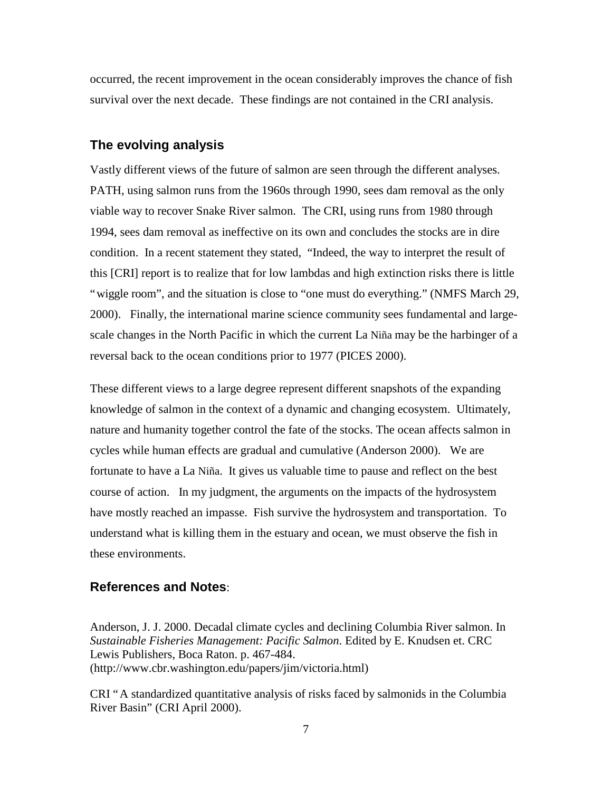occurred, the recent improvement in the ocean considerably improves the chance of fish survival over the next decade. These findings are not contained in the CRI analysis.

# **The evolving analysis**

Vastly different views of the future of salmon are seen through the different analyses. PATH, using salmon runs from the 1960s through 1990, sees dam removal as the only viable way to recover Snake River salmon. The CRI, using runs from 1980 through 1994, sees dam removal as ineffective on its own and concludes the stocks are in dire condition. In a recent statement they stated, "Indeed, the way to interpret the result of this [CRI] report is to realize that for low lambdas and high extinction risks there is little "wiggle room", and the situation is close to "one must do everything." (NMFS March 29, 2000). Finally, the international marine science community sees fundamental and largescale changes in the North Pacific in which the current La Niña may be the harbinger of a reversal back to the ocean conditions prior to 1977 (PICES 2000).

These different views to a large degree represent different snapshots of the expanding knowledge of salmon in the context of a dynamic and changing ecosystem. Ultimately, nature and humanity together control the fate of the stocks. The ocean affects salmon in cycles while human effects are gradual and cumulative (Anderson 2000). We are fortunate to have a La Niña. It gives us valuable time to pause and reflect on the best course of action. In my judgment, the arguments on the impacts of the hydrosystem have mostly reached an impasse. Fish survive the hydrosystem and transportation. To understand what is killing them in the estuary and ocean, we must observe the fish in these environments.

## **References and Notes**:

Anderson, J. J. 2000. Decadal climate cycles and declining Columbia River salmon. In *Sustainable Fisheries Management: Pacific Salmon*. Edited by E. Knudsen et. CRC Lewis Publishers, Boca Raton. p. 467-484. (http://www.cbr.washington.edu/papers/jim/victoria.html)

CRI "A standardized quantitative analysis of risks faced by salmonids in the Columbia River Basin" (CRI April 2000).